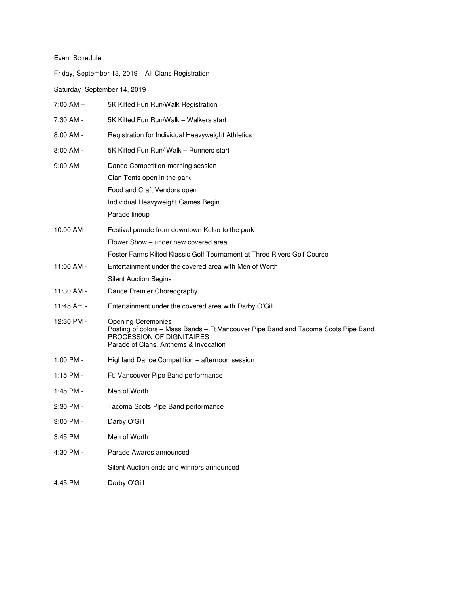## Event Schedule

|  |  |  | Friday, September 13, 2019 All Clans Registration |
|--|--|--|---------------------------------------------------|
|--|--|--|---------------------------------------------------|

| Saturday, September 14, 2019 |                                                                                                                                                                                       |  |
|------------------------------|---------------------------------------------------------------------------------------------------------------------------------------------------------------------------------------|--|
| $7:00$ AM $-$                | 5K Kilted Fun Run/Walk Registration                                                                                                                                                   |  |
| 7:30 AM -                    | 5K Kilted Fun Run/Walk - Walkers start                                                                                                                                                |  |
| $8:00$ AM -                  | Registration for Individual Heavyweight Athletics                                                                                                                                     |  |
| $8:00$ AM -                  | 5K Kilted Fun Run/ Walk - Runners start                                                                                                                                               |  |
| $9:00$ AM $-$                | Dance Competition-morning session<br>Clan Tents open in the park<br>Food and Craft Vendors open<br>Individual Heavyweight Games Begin<br>Parade lineup                                |  |
| 10:00 AM -                   | Festival parade from downtown Kelso to the park<br>Flower Show – under new covered area<br>Foster Farms Kilted Klassic Golf Tournament at Three Rivers Golf Course                    |  |
| 11:00 AM -                   | Entertainment under the covered area with Men of Worth<br><b>Silent Auction Begins</b>                                                                                                |  |
| 11:30 AM -                   | Dance Premier Choreography                                                                                                                                                            |  |
| 11:45 Am -                   | Entertainment under the covered area with Darby O'Gill                                                                                                                                |  |
| 12:30 PM -                   | <b>Opening Ceremonies</b><br>Posting of colors - Mass Bands - Ft Vancouver Pipe Band and Tacoma Scots Pipe Band<br>PROCESSION OF DIGNITAIRES<br>Parade of Clans, Anthems & Invocation |  |
| 1:00 PM -                    | Highland Dance Competition - afternoon session                                                                                                                                        |  |
| 1:15 PM -                    | Ft. Vancouver Pipe Band performance                                                                                                                                                   |  |
| 1:45 PM -                    | Men of Worth                                                                                                                                                                          |  |
| 2:30 PM -                    | Tacoma Scots Pipe Band performance                                                                                                                                                    |  |
| 3:00 PM -                    | Darby O'Gill                                                                                                                                                                          |  |
| 3:45 PM                      | Men of Worth                                                                                                                                                                          |  |
| 4:30 PM -                    | Parade Awards announced                                                                                                                                                               |  |
|                              | Silent Auction ends and winners announced                                                                                                                                             |  |
| 4:45 PM -                    | Darby O'Gill                                                                                                                                                                          |  |